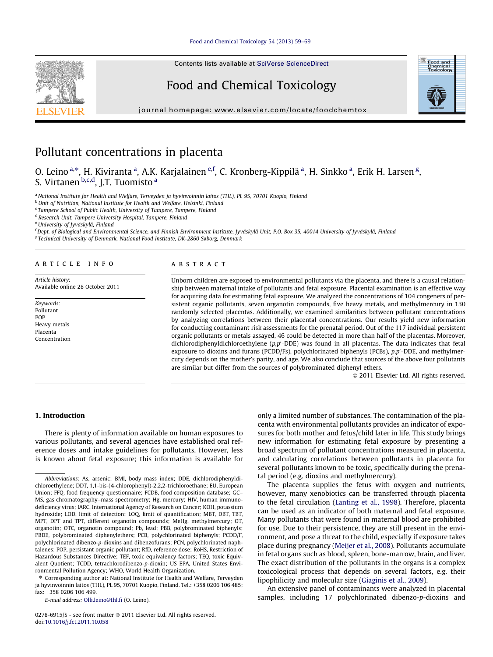# [Food and Chemical Toxicology 54 \(2013\) 59–69](http://dx.doi.org/10.1016/j.fct.2011.10.058)

Contents lists available at [SciVerse ScienceDirect](http://www.sciencedirect.com/science/journal/02786915)

# Food and Chemical Toxicology

journal homepage: [www.elsevier.com/locate/foodchemtox](http://www.elsevier.com/locate/foodchemtox)



# Pollutant concentrations in placenta

O. Leino <sup>a,</sup>\*, H. Kiviranta <sup>a</sup>, A.K. Karjalainen <sup>e,f</sup>, C. Kronberg-Kippilä <sup>a</sup>, H. Sinkko <sup>a</sup>, Erik H. Larsen <sup>g</sup>, S. Virtanen <sup>b,c,d</sup>, J.T. Tuomisto <sup>a</sup>

a National Institute for Health and Welfare, Terveyden ja hyvinvoinnin laitos (THL), PL 95, 70701 Kuopio, Finland

**b** Unit of Nutrition, National Institute for Health and Welfare, Helsinki, Finland

<sup>c</sup> Tampere School of Public Health, University of Tampere, Tampere, Finland

<sup>d</sup> Research Unit, Tampere University Hospital, Tampere, Finland

<sup>e</sup>University of Jyväskylä, Finland

f Dept. of Biological and Environmental Science, and Finnish Environment Institute, Jyväskylä Unit, P.O. Box 35, 40014 University of Jyväskylä, Finland <sup>g</sup> Technical University of Denmark, National Food Institute, DK-2860 Søborg, Denmark

#### article info

Article history: Available online 28 October 2011

Keywords: Pollutant POP Heavy metals Placenta Concentration

#### **ABSTRACT**

Unborn children are exposed to environmental pollutants via the placenta, and there is a causal relationship between maternal intake of pollutants and fetal exposure. Placental examination is an effective way for acquiring data for estimating fetal exposure. We analyzed the concentrations of 104 congeners of persistent organic pollutants, seven organotin compounds, five heavy metals, and methylmercury in 130 randomly selected placentas. Additionally, we examined similarities between pollutant concentrations by analyzing correlations between their placental concentrations. Our results yield new information for conducting contaminant risk assessments for the prenatal period. Out of the 117 individual persistent organic pollutants or metals assayed, 46 could be detected in more than half of the placentas. Moreover,  $dichlorodiphenyldichloroethylene (p,p'-DDE)$  was found in all placentas. The data indicates that fetal exposure to dioxins and furans (PCDD/Fs), polychlorinated biphenyls (PCBs),  $p$ , $p'$ -DDE, and methylmercury depends on the mother's parity, and age. We also conclude that sources of the above four pollutants are similar but differ from the sources of polybrominated diphenyl ethers.

- 2011 Elsevier Ltd. All rights reserved.

# 1. Introduction

There is plenty of information available on human exposures to various pollutants, and several agencies have established oral reference doses and intake guidelines for pollutants. However, less is known about fetal exposure; this information is available for only a limited number of substances. The contamination of the placenta with environmental pollutants provides an indicator of exposures for both mother and fetus/child later in life. This study brings new information for estimating fetal exposure by presenting a broad spectrum of pollutant concentrations measured in placenta, and calculating correlations between pollutants in placenta for several pollutants known to be toxic, specifically during the prenatal period (e.g. dioxins and methylmercury).

The placenta supplies the fetus with oxygen and nutrients, however, many xenobiotics can be transferred through placenta to the fetal circulation [\(Lanting et al., 1998\)](#page-10-0). Therefore, placenta can be used as an indicator of both maternal and fetal exposure. Many pollutants that were found in maternal blood are prohibited for use. Due to their persistence, they are still present in the environment, and pose a threat to the child, especially if exposure takes place during pregnancy ([Meijer et al., 2008\)](#page-10-0). Pollutants accumulate in fetal organs such as blood, spleen, bone-marrow, brain, and liver. The exact distribution of the pollutants in the organs is a complex toxicological process that depends on several factors, e.g. their lipophilicity and molecular size ([Giaginis et al., 2009](#page-9-0)).

An extensive panel of contaminants were analyzed in placental samples, including 17 polychlorinated dibenzo-p-dioxins and



Abbreviations: As, arsenic; BMI, body mass index; DDE, dichlorodiphenyldichloroethylene; DDT, 1,1-bis-(4-chlorophenyl)-2,2,2-trichloroethane; EU, European Union; FFQ, food frequency questionnaire; FCDB, food composition database; GC– MS, gas chromatography–mass spectrometry; Hg, mercury; HIV, human immunodeficiency virus; IARC, International Agency of Research on Cancer; KOH, potassium hydroxide; LOD, limit of detection; LOQ, limit of quantification; MBT, DBT, TBT, MPT, DPT and TPT, different organotin compounds; MeHg, methylmercury; OT, organotin; OTC, organotin compound; Pb, lead; PBB, polybrominated biphenyls; PBDE, polybrominated diphenylethers; PCB, polychlorinated biphenyls; PCDD/F, polychlorinated dibenzo-p-dioxins and dibenzofurans; PCN, polychlorinated naphtalenes; POP, persistant organic pollutant; RfD, reference dose; RoHS, Restriction of Hazardous Substances Directive; TEF, toxic equivalency factors; TEQ, toxic Equivalent Quotient; TCDD, tetrachlorodibenzo-p-dioxin; US EPA, United States Environmental Pollution Agency; WHO, World Health Organization.

<sup>⇑</sup> Corresponding author at: National Institute for Health and Welfare, Terveyden ja hyvinvoinnin laitos (THL), PL 95, 70701 Kuopio, Finland. Tel.: +358 0206 106 485; fax: +358 0206 106 499.

E-mail address: [Olli.leino@thl.fi](mailto:Olli.leino@thl.fi) (O. Leino).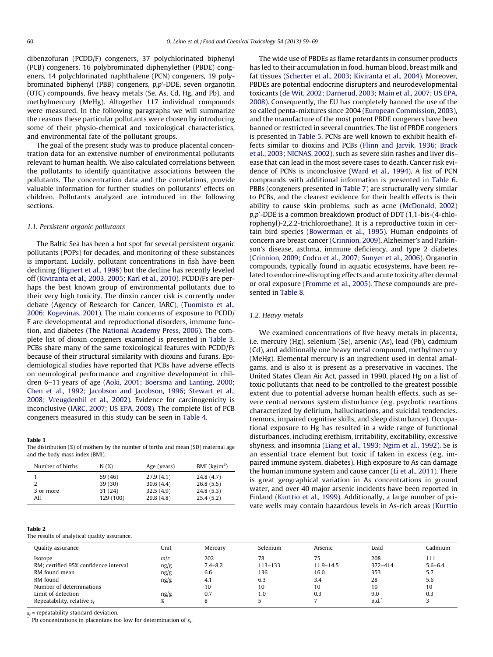<span id="page-1-0"></span>dibenzofuran (PCDD/F) congeners, 37 polychlorinated biphenyl (PCB) congeners, 16 polybrominated diphenylether (PBDE) congeners, 14 polychlorinated naphthalene (PCN) congeners, 19 polybrominated biphenyl (PBB) congeners, p,p'-DDE, seven organotin (OTC) compounds, five heavy metals (Se, As, Cd, Hg, and Pb), and methylmercury (MeHg). Altogether 117 individual compounds were measured. In the following paragraphs we will summarize the reasons these particular pollutants were chosen by introducing some of their physio-chemical and toxicological characteristics, and environmental fate of the pollutant groups.

The goal of the present study was to produce placental concentration data for an extensive number of environmental pollutants relevant to human health. We also calculated correlations between the pollutants to identify quantitative associations between the pollutants. The concentration data and the correlations, provide valuable information for further studies on pollutants' effects on children. Pollutants analyzed are introduced in the following sections.

# 1.1. Persistent organic pollutants

The Baltic Sea has been a hot spot for several persistent organic pollutants (POPs) for decades, and monitoring of these substances is important. Luckily, pollutant concentrations in fish have been declining ([Bignert et al., 1998](#page-9-0)) but the decline has recently leveled off [\(Kiviranta et al., 2003, 2005; Karl et al., 2010\)](#page-10-0). PCDD/Fs are perhaps the best known group of environmental pollutants due to their very high toxicity. The dioxin cancer risk is currently under debate (Agency of Research for Cancer, IARC), [\(Tuomisto et al.,](#page-10-0) [2006; Kogevinas, 2001](#page-10-0)). The main concerns of exposure to PCDD/ F are developmental and reproductional disorders, immune function, and diabetes [\(The National Academy Press, 2006\)](#page-10-0). The complete list of dioxin congeners examined is presented in [Table 3.](#page-2-0) PCBs share many of the same toxicological features with PCDD/Fs because of their structural similarity with dioxins and furans. Epidemiological studies have reported that PCBs have adverse effects on neurological performance and cognitive development in children 6–11 years of age ([Aoki, 2001; Boersma and Lanting, 2000;](#page-9-0) [Chen et al., 1992; Jacobson and Jacobson, 1996; Stewart et al.,](#page-9-0) [2008; Vreugdenhil et al., 2002](#page-9-0)). Evidence for carcinogenicity is inconclusive [\(IARC, 2007; US EPA, 2008](#page-9-0)). The complete list of PCB congeners measured in this study can be seen in [Table 4.](#page-3-0)

#### Table 1

The distribution  $(\%)$  of mothers by the number of births and mean (SD) maternal age and the body mass index (BMI).

| Number of births | N(%)      | Age (years) | BMI $(kg/m2)$ |
|------------------|-----------|-------------|---------------|
|                  | 59 (46)   | 27.9(4.1)   | 24.8(4.7)     |
|                  | 39(30)    | 30.6(4.4)   | 26.8(5.5)     |
| 3 or more        | 31(24)    | 32.5(4.9)   | 24.8(5.3)     |
| All              | 129 (100) | 29.8(4.8)   | 25.4(5.2)     |

#### Table 2

The results of analytical quality assurance.

The wide use of PBDEs as flame retardants in consumer products has led to their accumulation in food, human blood, breast milk and fat tissues ([Schecter et al., 2003; Kiviranta et al., 2004\)](#page-10-0). Moreover, PBDEs are potential endocrine disrupters and neurodevelopmental toxicants [\(de Wit, 2002; Darnerud, 2003; Main et al., 2007; US EPA,](#page-9-0) [2008\)](#page-9-0). Consequently, the EU has completely banned the use of the so called penta-mixtures since 2004 [\(European Commission, 2003\)](#page-9-0), and the manufacture of the most potent PBDE congeners have been banned or restricted in several countries. The list of PBDE congeners is presented in [Table 5](#page-4-0). PCNs are well known to exhibit health effects similar to dioxins and PCBs [\(Flinn and Jarvik, 1936; Brack](#page-9-0) [et al., 2003; NICNAS, 2002\)](#page-9-0), such as severe skin rashes and liver disease that can lead in the most severe cases to death. Cancer risk evidence of PCNs is inconclusive ([Ward et al., 1994](#page-10-0)). A list of PCN compounds with additional information is presented in [Table 6.](#page-4-0) PBBs (congeners presented in [Table 7](#page-5-0)) are structurally very similar to PCBs, and the clearest evidence for their health effects is their ability to cause skin problems, such as acne [\(McDonald, 2002\)](#page-10-0)  $p, p'$ -DDE is a common breakdown product of DDT  $(1, 1$ -bis- $(4$ -chlorophenyl)-2,2,2-trichloroethane). It is a reproductive toxin in certain bird species ([Bowerman et al., 1995](#page-9-0)). Human endpoints of concern are breast cancer ([Crinnion, 2009\)](#page-9-0), Alzheimer's and Parkinson's disease, asthma, immune deficiency, and type 2 diabetes ([Crinnion, 2009; Codru et al., 2007; Sunyer et al., 2006\)](#page-9-0). Organotin compounds, typically found in aquatic ecosystems, have been related to endocrine-disrupting effects and acute toxicity after dermal or oral exposure [\(Fromme et al., 2005\)](#page-9-0). These compounds are presented in [Table 8](#page-5-0).

# 1.2. Heavy metals

We examined concentrations of five heavy metals in placenta, i.e. mercury (Hg), selenium (Se), arsenic (As), lead (Pb), cadmium (Cd), and additionally one heavy metal compound, methylmercury (MeHg). Elemental mercury is an ingredient used in dental amalgams, and is also it is present as a preservative in vaccines. The United States Clean Air Act, passed in 1990, placed Hg on a list of toxic pollutants that need to be controlled to the greatest possible extent due to potential adverse human health effects, such as severe central nervous system disturbance (e.g. psychotic reactions characterized by delirium, hallucinations, and suicidal tendencies. tremors, impaired cognitive skills, and sleep disturbance). Occupational exposure to Hg has resulted in a wide range of functional disturbances, including erethism, irritability, excitability, excessive shyness, and insomnia ([Liang et al., 1993; Ngim et al., 1992](#page-10-0)). Se is an essential trace element but toxic if taken in excess (e.g. impaired immune system, diabetes). High exposure to As can damage the human immune system and cause cancer [\(Li et al., 2011\)](#page-10-0). There is great geographical variation in As concentrations in ground water, and over 40 major arsenic incidents have been reported in Finland ([Kurttio et al., 1999](#page-10-0)). Additionally, a large number of private wells may contain hazardous levels in As-rich areas [\(Kurttio](#page-10-0)

| Quality assurance                     | Unit | Mercury     | Selenium    | Arsenic       | Lead    | Cadmium     |
|---------------------------------------|------|-------------|-------------|---------------|---------|-------------|
| Isotope                               | m/z  | 202         | 78          | 75            | 208     | 111         |
| RM: certified 95% confidence interval | ng/g | $7.4 - 8.2$ | $113 - 133$ | $11.9 - 14.5$ | 372-414 | $5.6 - 6.4$ |
| RM found mean                         | ng/g | 6.6         | 136         | 16.0          | 353     | 5.7         |
| RM found                              | ng/g | 4.1         | 6.3         | 3.4           | 28      | 5.6         |
| Number of determinations              |      | 10          | 10          | 10            | 10      | 10          |
| Limit of detection                    | ng/g | 0.7         | 1.0         | 0.3           | 9.0     | 0.3         |
| Repeatability, relative $s_r$         |      |             |             |               | n.d.    |             |

 $s_r$  = repeatability standard deviation.<br>\* Pb concentrations in placentaes too low for determination of  $s_r$ .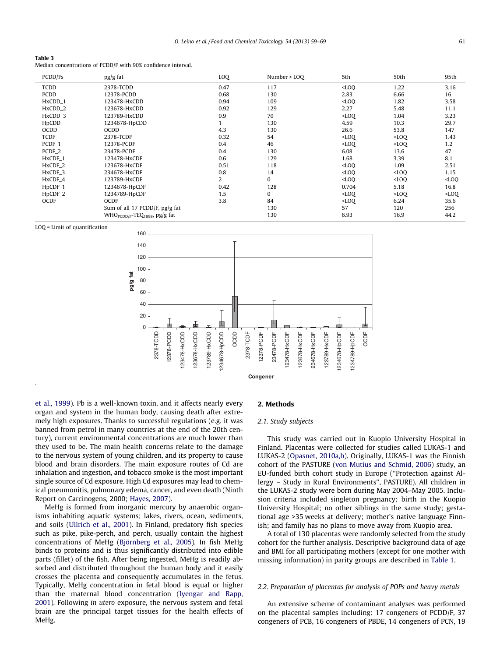<span id="page-2-0"></span>

|--|--|

| Median concentrations of PCDD/F with 90% confidence interval. |  |  |  |
|---------------------------------------------------------------|--|--|--|
|                                                               |  |  |  |

| PCDD/Fs     | pg/g fat                       | LOQ            | Number > LOQ | 5th                                           | 50th                                             | 95th    |
|-------------|--------------------------------|----------------|--------------|-----------------------------------------------|--------------------------------------------------|---------|
| TCDD        | 2378-TCDD                      | 0.47           | 117          | $<$ LOO                                       | 1.22                                             | 3.16    |
| PCDD        | 12378-PCDD                     | 0.68           | 130          | 2.83                                          | 6.66                                             | 16      |
| HxCDD_1     | 123478-HxCDD                   | 0.94           | 109          | $<$ LOO                                       | 1.82                                             | 3.58    |
| HxCDD_2     | 123678-HxCDD                   | 0.92           | 129          | 2.27                                          | 5.48                                             | 11.1    |
| HxCDD_3     | 123789-HxCDD                   | 0.9            | 70           | <loq< td=""><td>1.04</td><td>3.23</td></loq<> | 1.04                                             | 3.23    |
| HpCDD       | 1234678-HpCDD                  |                | 130          | 4.59                                          | 10.3                                             | 29.7    |
| <b>OCDD</b> | <b>OCDD</b>                    | 4.3            | 130          | 26.6                                          | 53.8                                             | 147     |
| <b>TCDF</b> | 2378-TCDF                      | 0.32           | 54           | $<$ LOO                                       | $<$ LOO                                          | 1.43    |
| PCDF_1      | 12378-PCDF                     | 0.4            | 46           | $<$ LOO                                       | $<$ LOQ                                          | 1.2     |
| PCDF_2      | 23478-PCDF                     | 0.4            | 130          | 6.08                                          | 13.6                                             | 47      |
| HxCDF_1     | 123478-HxCDF                   | 0.6            | 129          | 1.68                                          | 3.39                                             | 8.1     |
| HxCDF_2     | 123678-HxCDF                   | 0.51           | 118          | $<$ LOO                                       | 1.09                                             | 2.51    |
| HxCDF_3     | 234678-HxCDF                   | 0.8            | 14           | $<$ LOO                                       | $<$ LOO                                          | 1.15    |
| HxCDF_4     | 123789-HxCDF                   | $\overline{2}$ | $\mathbf{0}$ | $<$ LOO                                       | $<$ LOO                                          | $<$ LOO |
| HpCDF_1     | 1234678-HpCDF                  | 0.42           | 128          | 0.704                                         | 5.18                                             | 16.8    |
| HpCDF_2     | 1234789-HpCDF                  | 1.5            | $\mathbf{0}$ | $<$ LOO                                       | <loq< td=""><td><math>&lt;</math>LOQ</td></loq<> | $<$ LOQ |
| <b>OCDF</b> | OCDF                           | 3.8            | 84           | <loq< td=""><td>6.24</td><td>35.6</td></loq<> | 6.24                                             | 35.6    |
|             | Sum of all 17 PCDD/F, pg/g fat |                | 130          | 57                                            | 120                                              | 256     |
|             | $WHOPCDD/F-TEQ1998$ , pg/g fat |                | 130          | 6.93                                          | 16.9                                             | 44.2    |

LOQ = Limit of quantification

.



[et al., 1999](#page-10-0)). Pb is a well-known toxin, and it affects nearly every organ and system in the human body, causing death after extremely high exposures. Thanks to successful regulations (e.g. it was banned from petrol in many countries at the end of the 20th century), current environmental concentrations are much lower than they used to be. The main health concerns relate to the damage to the nervous system of young children, and its property to cause blood and brain disorders. The main exposure routes of Cd are inhalation and ingestion, and tobacco smoke is the most important single source of Cd exposure. High Cd exposures may lead to chemical pneumonitis, pulmonary edema, cancer, and even death (Ninth Report on Carcinogens, 2000; [Hayes, 2007](#page-9-0)).

MeHg is formed from inorganic mercury by anaerobic organisms inhabiting aquatic systems; lakes, rivers, ocean, sediments, and soils [\(Ullrich et al., 2001](#page-10-0)). In Finland, predatory fish species such as pike, pike-perch, and perch, usually contain the highest concentrations of MeHg ([Björnberg et al., 2005\)](#page-9-0). In fish MeHg binds to proteins and is thus significantly distributed into edible parts (fillet) of the fish. After being ingested, MeHg is readily absorbed and distributed throughout the human body and it easily crosses the placenta and consequently accumulates in the fetus. Typically, MeHg concentration in fetal blood is equal or higher than the maternal blood concentration ([Iyengar and Rapp,](#page-9-0) [2001](#page-9-0)). Following in utero exposure, the nervous system and fetal brain are the principal target tissues for the health effects of MeHg.

# 2. Methods

# 2.1. Study subjects

This study was carried out in Kuopio University Hospital in Finland. Placentas were collected for studies called LUKAS-1 and LUKAS-2 [\(Opasnet, 2010a,b](#page-10-0)). Originally, LUKAS-1 was the Finnish cohort of the PASTURE [\(von Mutius and Schmid, 2006](#page-10-0)) study, an EU-funded birth cohort study in Europe (''Protection against Allergy – Study in Rural Environments'', PASTURE). All children in the LUKAS-2 study were born during May 2004–May 2005. Inclusion criteria included singleton pregnancy; birth in the Kuopio University Hospital; no other siblings in the same study; gestational age >35 weeks at delivery; mother's native language Finnish; and family has no plans to move away from Kuopio area.

A total of 130 placentas were randomly selected from the study cohort for the further analysis. Descriptive background data of age and BMI for all participating mothers (except for one mother with missing information) in parity groups are described in [Table 1.](#page-1-0)

# 2.2. Preparation of placentas for analysis of POPs and heavy metals

An extensive scheme of contaminant analyses was performed on the placental samples including: 17 congeners of PCDD/F, 37 congeners of PCB, 16 congeners of PBDE, 14 congeners of PCN, 19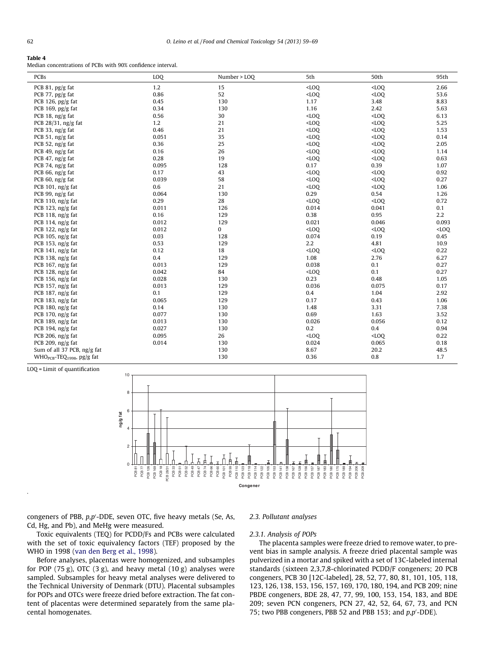<span id="page-3-0"></span>Median concentrations of PCBs with 90% confidence interval.

| PCBs                        | LOQ   | Number > LOQ | 5th     | 50th    | 95th    |
|-----------------------------|-------|--------------|---------|---------|---------|
| PCB 81, pg/g fat            | 1.2   | 15           | $<$ LOO | $<$ LOQ | 2.66    |
| PCB 77, pg/g fat            | 0.86  | 52           | $<$ LOQ | $<$ LOQ | 53.6    |
| PCB 126, pg/g fat           | 0.45  | 130          | 1.17    | 3.48    | 8.83    |
| PCB 169, pg/g fat           | 0.34  | 130          | 1.16    | 2.42    | 5.63    |
| PCB 18, ng/g fat            | 0.56  | 30           | $<$ LOQ | $<$ LOQ | 6.13    |
| PCB 28/31, ng/g fat         | 1.2   | 21           | $<$ LOO | $<$ LOQ | 5.25    |
| PCB 33, $ng/g$ fat          | 0.46  | 21           | $<$ LOO | $<$ LOO | 1.53    |
| PCB 51, $ng/g$ fat          | 0.051 | 35           | $<$ LOO | $<$ LOQ | 0.14    |
| PCB 52, $ng/g$ fat          | 0.36  | 25           | $<$ LOO | $<$ LOQ | 2.05    |
| PCB 49, ng/g fat            | 0.16  | 26           | $<$ LOQ | $<$ LOQ | 1.14    |
| PCB 47, $ng/g$ fat          | 0.28  | 19           | $<$ LOQ | $<$ LOQ | 0.63    |
| PCB 74, $ng/g$ fat          | 0.095 | 128          | 0.17    | 0.39    | 1.07    |
| PCB 66, ng/g fat            | 0.17  | 43           | $<$ LOO | $<$ LOO | 0.92    |
| PCB 60, $ng/g$ fat          | 0.039 | 58           | $<$ LOO | $<$ LOQ | 0.27    |
| PCB 101, $ng/g$ fat         | 0.6   | 21           | $<$ LOQ | $<$ LOQ | 1.06    |
| PCB 99, $ng/g$ fat          | 0.064 | 130          | 0.29    | 0.54    | 1.26    |
| PCB 110, ng/g fat           | 0.29  | 28           | $<$ LOO | $<$ LOO | 0.72    |
| PCB 123, $ng/g$ fat         | 0.011 | 126          | 0.014   | 0.041   | 0.1     |
| PCB 118, ng/g fat           | 0.16  | 129          | 0.38    | 0.95    | 2.2     |
| PCB 114, ng/g fat           | 0.012 | 129          | 0.021   | 0.046   | 0.093   |
| PCB 122, ng/g fat           | 0.012 | $\bf{0}$     | $<$ LOQ | $<$ LOQ | $<$ LOQ |
| PCB 105, ng/g fat           | 0.03  | 128          | 0.074   | 0.19    | 0.45    |
| PCB 153, $ng/g$ fat         | 0.53  | 129          | 2.2     | 4.81    | 10.9    |
| PCB 141, ng/g fat           | 0.12  | 18           | $<$ LOQ | $<$ LOQ | 0.22    |
| PCB 138, ng/g fat           | 0.4   | 129          | 1.08    | 2.76    | 6.27    |
| PCB 167, ng/g fat           | 0.013 | 129          | 0.038   | 0.1     | 0.27    |
| PCB 128, ng/g fat           | 0.042 | 84           | $<$ LOQ | 0.1     | 0.27    |
| PCB 156, $ng/g$ fat         | 0.028 | 130          | 0.23    | 0.48    | 1.05    |
| PCB 157, $ng/g$ fat         | 0.013 | 129          | 0.036   | 0.075   | 0.17    |
| PCB 187, ng/g fat           | 0.1   | 129          | 0.4     | 1.04    | 2.92    |
| PCB 183, ng/g fat           | 0.065 | 129          | 0.17    | 0.43    | 1.06    |
| PCB 180, ng/g fat           | 0.14  | 130          | 1.48    | 3.31    | 7.38    |
| PCB 170, ng/g fat           | 0.077 | 130          | 0.69    | 1.63    | 3.52    |
| PCB 189, ng/g fat           | 0.013 | 130          | 0.026   | 0.056   | 0.12    |
| PCB 194, $ng/g$ fat         | 0.027 | 130          | 0.2     | 0.4     | 0.94    |
| PCB 206, $ng/g$ fat         | 0.095 | 26           | $<$ LOO | $<$ LOO | 0.22    |
| PCB 209, ng/g fat           | 0.014 | 130          | 0.024   | 0.065   | 0.18    |
| Sum of all 37 PCB, ng/g fat |       | 130          | 8.67    | 20.2    | 48.5    |
| $WHOPCB-TEQ1998$ , pg/g fat |       | 130          | 0.36    | 0.8     | 1.7     |

LOQ = Limit of quantification

.



congeners of PBB, p,p'-DDE, seven OTC, five heavy metals (Se, As, Cd, Hg, and Pb), and MeHg were measured.

Toxic equivalents (TEQ) for PCDD/Fs and PCBs were calculated with the set of toxic equivalency factors (TEF) proposed by the WHO in 1998 ([van den Berg et al., 1998](#page-10-0)).

Before analyses, placentas were homogenized, and subsamples for POP (75 g), OTC (3 g), and heavy metal (10 g) analyses were sampled. Subsamples for heavy metal analyses were delivered to the Technical University of Denmark (DTU). Placental subsamples for POPs and OTCs were freeze dried before extraction. The fat content of placentas were determined separately from the same placental homogenates.

# 2.3. Pollutant analyses

2.3.1. Analysis of POPs

The placenta samples were freeze dried to remove water, to prevent bias in sample analysis. A freeze dried placental sample was pulverized in a mortar and spiked with a set of 13C-labeled internal standards (sixteen 2,3,7,8-chlorinated PCDD/F congeners; 20 PCB congeners, PCB 30 [12C-labeled], 28, 52, 77, 80, 81, 101, 105, 118, 123, 126, 138, 153, 156, 157, 169, 170, 180, 194, and PCB 209; nine PBDE congeners, BDE 28, 47, 77, 99, 100, 153, 154, 183, and BDE 209; seven PCN congeners, PCN 27, 42, 52, 64, 67, 73, and PCN 75; two PBB congeners, PBB 52 and PBB 153; and  $p, p'$ -DDE).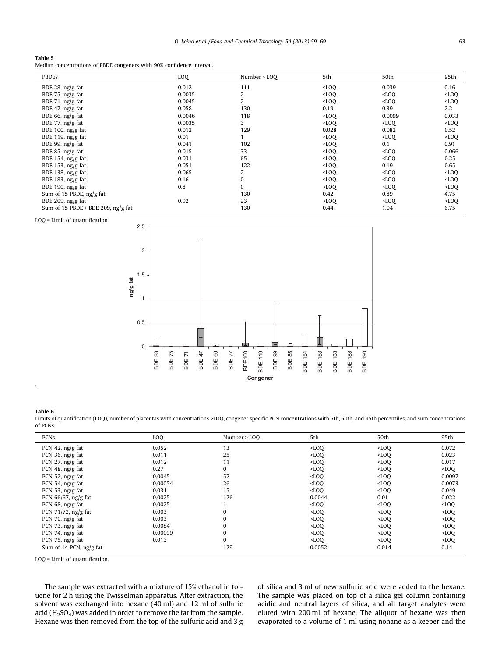<span id="page-4-0"></span>Median concentrations of PBDE congeners with 90% confidence interval.

| <b>PBDEs</b>                         | LOQ    | Number > LOQ | 5th                                                                           | 50th                                            | 95th                |
|--------------------------------------|--------|--------------|-------------------------------------------------------------------------------|-------------------------------------------------|---------------------|
| BDE 28, $ng/g$ fat                   | 0.012  | 111          | $<$ LOO                                                                       | 0.039                                           | 0.16                |
| BDE 75, $ng/g$ fat                   | 0.0035 | 2            | $<$ LOO                                                                       | $<$ LOO                                         | $<$ LOO             |
| BDE 71, $ng/g$ fat                   | 0.0045 | 2            | <loq< td=""><td><loq< td=""><td><loq< td=""></loq<></td></loq<></td></loq<>   | <loq< td=""><td><loq< td=""></loq<></td></loq<> | <loq< td=""></loq<> |
| BDE 47, $ng/g$ fat                   | 0.058  | 130          | 0.19                                                                          | 0.39                                            | 2.2                 |
| BDE 66, $ng/g$ fat                   | 0.0046 | 118          | $<$ LOO                                                                       | 0.0099                                          | 0.033               |
| BDE 77, $ng/g$ fat                   | 0.0035 | 3            | $<$ LOO                                                                       | $<$ LOO                                         | $<$ LOO             |
| BDE 100, ng/g fat                    | 0.012  | 129          | 0.028                                                                         | 0.082                                           | 0.52                |
| BDE 119, $ng/g$ fat                  | 0.01   |              | <loo< td=""><td><math>&lt;</math>LOO</td><td><math>&lt;</math>LOO</td></loo<> | $<$ LOO                                         | $<$ LOO             |
| BDE 99, $ng/g$ fat                   | 0.041  | 102          | <loq< td=""><td>0.1</td><td>0.91</td></loq<>                                  | 0.1                                             | 0.91                |
| BDE 85, $ng/g$ fat                   | 0.015  | 33           | <loq< td=""><td><math>&lt;</math>LOO</td><td>0.066</td></loq<>                | $<$ LOO                                         | 0.066               |
| BDE 154, $ng/g$ fat                  | 0.031  | 65           | $<$ LOO                                                                       | $<$ LOO                                         | 0.25                |
| BDE 153, $ng/g$ fat                  | 0.051  | 122          | $<$ LOO                                                                       | 0.19                                            | 0.65                |
| BDE 138, $ng/g$ fat                  | 0.065  | 2            | <loq< td=""><td><math>&lt;</math>LOO</td><td><math>&lt;</math>LOO</td></loq<> | $<$ LOO                                         | $<$ LOO             |
| BDE 183, ng/g fat                    | 0.16   | $\mathbf{0}$ | <loo< td=""><td><math>&lt;</math>LOO</td><td><loq< td=""></loq<></td></loo<>  | $<$ LOO                                         | <loq< td=""></loq<> |
| BDE 190, $ng/g$ fat                  | 0.8    | $\mathbf{0}$ | $<$ LOO                                                                       | $<$ LOO                                         | $<$ LOO             |
| Sum of 15 PBDE, ng/g fat             |        | 130          | 0.42                                                                          | 0.89                                            | 4.75                |
| BDE 209, $ng/g$ fat                  | 0.92   | 23           | <loq< td=""><td><math>&lt;</math>LOO</td><td><math>&lt;</math>LOO</td></loq<> | $<$ LOO                                         | $<$ LOO             |
| Sum of 15 PBDE + BDE 209, $ng/g$ fat |        | 130          | 0.44                                                                          | 1.04                                            | 6.75                |

LOQ = Limit of quantification



#### Table 6

.

Limits of quantification (LOQ), number of placentas with concentrations >LOQ, congener specific PCN concentrations with 5th, 50th, and 95th percentiles, and sum concentrations of PCNs.

| <b>PCNs</b>             | LOQ     | Number > LOQ | 5th                                                                          | 50th                              | 95th                |
|-------------------------|---------|--------------|------------------------------------------------------------------------------|-----------------------------------|---------------------|
| PCN 42, $ng/g$ fat      | 0.052   | 13           | $<$ LOO                                                                      | $<$ LOO                           | 0.072               |
| PCN 36, $ng/g$ fat      | 0.011   | 25           | <loq< td=""><td><math>&lt;</math>LOO</td><td>0.023</td></loq<>               | $<$ LOO                           | 0.023               |
| PCN 27, $ng/g$ fat      | 0.012   | 11           | $<$ LOO                                                                      | $<$ LOO                           | 0.017               |
| PCN 48, $ng/g$ fat      | 0.27    | $\mathbf{0}$ | $<$ LOO                                                                      | $<$ LOO                           | $<$ LOO             |
| PCN 52, $ng/g$ fat      | 0.0045  | 57           | <loq< td=""><td><math>&lt;</math>LOO</td><td>0.0097</td></loq<>              | $<$ LOO                           | 0.0097              |
| PCN 54, $ng/g$ fat      | 0.00054 | 26           | $<$ LOO                                                                      | $<$ LOO                           | 0.0073              |
| PCN 53, $ng/g$ fat      | 0.031   | 15           | <loq< td=""><td><loq< td=""><td>0.049</td></loq<></td></loq<>                | <loq< td=""><td>0.049</td></loq<> | 0.049               |
| PCN 66/67, ng/g fat     | 0.0025  | 126          | 0.0044                                                                       | 0.01                              | 0.022               |
| PCN 68, $ng/g$ fat      | 0.0025  |              | <loq< td=""><td><math>&lt;</math>LOO</td><td><loq< td=""></loq<></td></loq<> | $<$ LOO                           | <loq< td=""></loq<> |
| PCN 71/72, $ng/g$ fat   | 0.003   | $\Omega$     | $<$ LOO                                                                      | $<$ LOO                           | $<$ LOO             |
| PCN 70, $ng/g$ fat      | 0.003   | 0            | $<$ LOO                                                                      | $<$ LOO                           | $<$ LOO             |
| PCN 73, $ng/g$ fat      | 0.0084  |              | $<$ LOO                                                                      | $<$ LOO                           | $<$ LOO             |
| PCN 74, $ng/g$ fat      | 0.00099 | 0            | $<$ LOO                                                                      | $<$ LOO                           | $<$ LOO             |
| PCN 75, $ng/g$ fat      | 0.013   | 0            | $<$ LOO                                                                      | $<$ LOO                           | $<$ LOO             |
| Sum of 14 PCN, ng/g fat |         | 129          | 0.0052                                                                       | 0.014                             | 0.14                |

LOQ = Limit of quantification.

The sample was extracted with a mixture of 15% ethanol in toluene for 2 h using the Twisselman apparatus. After extraction, the solvent was exchanged into hexane (40 ml) and 12 ml of sulfuric acid ( $H<sub>2</sub>SO<sub>4</sub>$ ) was added in order to remove the fat from the sample. Hexane was then removed from the top of the sulfuric acid and 3 g of silica and 3 ml of new sulfuric acid were added to the hexane. The sample was placed on top of a silica gel column containing acidic and neutral layers of silica, and all target analytes were eluted with 200 ml of hexane. The aliquot of hexane was then evaporated to a volume of 1 ml using nonane as a keeper and the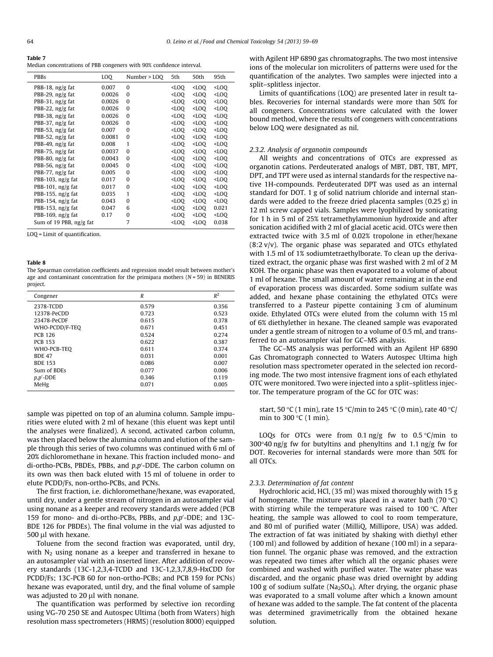<span id="page-5-0"></span>Median concentrations of PBB congeners with 90% confidence interval.

| PBBs                    | LOQ    | Number > LOO | 5th                                                                          | 50th                                             | 95th                |
|-------------------------|--------|--------------|------------------------------------------------------------------------------|--------------------------------------------------|---------------------|
| PBB-18, $ng/g$ fat      | 0.007  | $\Omega$     | $<$ LOO                                                                      | $<$ LOO                                          | <loq< td=""></loq<> |
| PBB-29, $ng/g$ fat      | 0.0026 | 0            | <loo< td=""><td><loo< td=""><td><math>&lt;</math>LOO</td></loo<></td></loo<> | <loo< td=""><td><math>&lt;</math>LOO</td></loo<> | $<$ LOO             |
| PBB-31, $ng/g$ fat      | 0.0026 | 0            | $<$ LOO                                                                      | $<$ LOO                                          | $<$ LOO             |
| PBB-22, $ng/g$ fat      | 0.0026 | 0            | $<$ LOO                                                                      | <loo< td=""><td><math>&lt;</math>LOO</td></loo<> | $<$ LOO             |
| PBB-38, $ng/g$ fat      | 0.0026 | 0            | $<$ LOO                                                                      | $<$ LOO                                          | $<$ LOO             |
| PBB-37, $ng/g$ fat      | 0.0026 | 0            | $<$ LOO                                                                      | $<$ LOO                                          | $<$ LOO             |
| PBB-53, $ng/g$ fat      | 0.007  | 0            | $<$ LOO                                                                      | $<$ LOO                                          | $<$ LOO             |
| PBB-52, $ng/g$ fat      | 0.0081 | 0            | $<$ LOO                                                                      | <loo< td=""><td><math>&lt;</math>LOO</td></loo<> | $<$ LOO             |
| PBB-49, ng/g fat        | 0.008  | 1            | $<$ LOO                                                                      | $<$ LOO                                          | $<$ LOO             |
| PBB-75, ng/g fat        | 0.0037 | 0            | $<$ LOO                                                                      | <loq< td=""><td><math>&lt;</math>LOO</td></loq<> | $<$ LOO             |
| PBB-80, $ng/g$ fat      | 0.0043 | 0            | $<$ LOO                                                                      | <loo< td=""><td><math>&lt;</math>LOO</td></loo<> | $<$ LOO             |
| PBB-56, $ng/g$ fat      | 0.0045 | 0            | $<$ LOO                                                                      | $<$ LOO                                          | $<$ LOO             |
| PBB-77, $ng/g$ fat      | 0.005  | 0            | $<$ LOO                                                                      | $<$ LOO                                          | $<$ LOO             |
| PBB-103, $ng/g$ fat     | 0.017  | 0            | <loo< td=""><td><loo< td=""><td><math>&lt;</math>LOO</td></loo<></td></loo<> | <loo< td=""><td><math>&lt;</math>LOO</td></loo<> | $<$ LOO             |
| PBB-101, ng/g fat       | 0.017  | 0            | $<$ LOO                                                                      | <loo< td=""><td><math>&lt;</math>LOO</td></loo<> | $<$ LOO             |
| PBB-155, $ng/g$ fat     | 0.035  | 1            | $<$ LOO                                                                      | $<$ LOO                                          | $<$ LOO             |
| PBB-154, $ng/g$ fat     | 0.043  | $\Omega$     | $<$ LOO                                                                      | <loo< td=""><td><math>&lt;</math>LOO</td></loo<> | $<$ LOO             |
| PBB-153, $ng/g$ fat     | 0.047  | 6            | $<$ LOO                                                                      | <loo< td=""><td>0.021</td></loo<>                | 0.021               |
| PBB-169, ng/g fat       | 0.17   | 0            | $<$ LOO                                                                      | $<$ LOO                                          | $<$ LOO             |
| Sum of 19 PBB, ng/g fat |        | 7            | $<$ LOO                                                                      | $<$ LOO                                          | 0.038               |
|                         |        |              |                                                                              |                                                  |                     |

LOQ = Limit of quantification.

#### Table 8

The Spearman correlation coefficients and regression model result between mother's age and contaminant concentration for the primipara mothers  $(N = 59)$  in BENERIS project.

| Congener       | R     | $R^2$ |
|----------------|-------|-------|
| 2378-TCDD      | 0.579 | 0.356 |
| 12378-PeCDD    | 0.723 | 0.523 |
| 23478-PeCDF    | 0.615 | 0.378 |
| WHO-PCDD/F-TEO | 0.671 | 0.451 |
| <b>PCB 126</b> | 0.524 | 0.274 |
| <b>PCB 153</b> | 0.622 | 0.387 |
| WHO-PCB-TEO    | 0.611 | 0.374 |
| <b>BDE 47</b>  | 0.031 | 0.001 |
| <b>BDE 153</b> | 0.086 | 0.007 |
| Sum of BDEs    | 0.077 | 0.006 |
| $p, p'$ -DDE   | 0.346 | 0.119 |
| MeHg           | 0.071 | 0.005 |
|                |       |       |

sample was pipetted on top of an alumina column. Sample impurities were eluted with 2 ml of hexane (this eluent was kept until the analyses were finalized). A second, activated carbon column, was then placed below the alumina column and elution of the sample through this series of two columns was continued with 6 ml of 20% dichloromethane in hexane. This fraction included mono- and di-ortho-PCBs, PBDEs, PBBs, and p,p'-DDE. The carbon column on its own was then back eluted with 15 ml of toluene in order to elute PCDD/Fs, non-ortho-PCBs, and PCNs.

The first fraction, i.e. dichloromethane/hexane, was evaporated, until dry, under a gentle stream of nitrogen in an autosampler vial using nonane as a keeper and recovery standards were added (PCB 159 for mono- and di-ortho-PCBs, PBBs, and  $p, p'$ -DDE; and 13C-BDE 126 for PBDEs). The final volume in the vial was adjusted to 500 ll with hexane.

Toluene from the second fraction was evaporated, until dry, with  $N<sub>2</sub>$  using nonane as a keeper and transferred in hexane to an autosampler vial with an inserted liner. After addition of recovery standards (13C-1,2,3,4-TCDD and 13C-1,2,3,7,8,9-HxCDD for PCDD/Fs; 13C-PCB 60 for non-ortho-PCBs; and PCB 159 for PCNs) hexane was evaporated, until dry, and the final volume of sample was adjusted to  $20 \mu l$  with nonane.

The quantification was performed by selective ion recording using VG-70 250 SE and Autospec Ultima (both from Waters) high resolution mass spectrometers (HRMS) (resolution 8000) equipped with Agilent HP 6890 gas chromatographs. The two most intensive ions of the molecular ion microliters of patterns were used for the quantification of the analytes. Two samples were injected into a split–splitless injector.

Limits of quantifications (LOQ) are presented later in result tables. Recoveries for internal standards were more than 50% for all congeners. Concentrations were calculated with the lower bound method, where the results of congeners with concentrations below LOQ were designated as nil.

# 2.3.2. Analysis of organotin compounds

All weights and concentrations of OTCs are expressed as organotin cations. Perdeuterated analogs of MBT, DBT, TBT, MPT, DPT, and TPT were used as internal standards for the respective native 1H-compounds. Perdeuterated DPT was used as an internal standard for DOT. 1 g of solid natrium chloride and internal standards were added to the freeze dried placenta samples (0.25 g) in 12 ml screw capped vials. Samples were lyophilized by sonicating for 1 h in 5 ml of 25% tetramethylammoniun hydroxide and after sonication acidified with 2 ml of glacial acetic acid. OTCs were then extracted twice with 3.5 ml of 0.02% tropolone in ether/hexane  $(8:2 v/v)$ . The organic phase was separated and OTCs ethylated with 1.5 ml of 1% sodiumtetraethylborate. To clean up the derivatized extract, the organic phase was first washed with 2 ml of 2 M KOH. The organic phase was then evaporated to a volume of about 1 ml of hexane. The small amount of water remaining at in the end of evaporation process was discarded. Some sodium sulfate was added, and hexane phase containing the ethylated OTCs were transferred to a Pasteur pipette containing 3 cm of aluminum oxide. Ethylated OTCs were eluted from the column with 15 ml of 6% diethylether in hexane. The cleaned sample was evaporated under a gentle stream of nitrogen to a volume of 0.5 ml, and transferred to an autosampler vial for GC–MS analysis.

The GC–MS analysis was performed with an Agilent HP 6890 Gas Chromatograph connected to Waters Autospec Ultima high resolution mass spectrometer operated in the selected ion recording mode. The two most intensive fragment ions of each ethylated OTC were monitored. Two were injected into a split–splitless injector. The temperature program of the GC for OTC was:

start, 50 °C (1 min), rate 15 °C/min to 245 °C (0 min), rate 40 °C/ min to  $300 \degree C$  (1 min).

LOQs for OTCs were from 0.1 ng/g fw to  $0.5 \text{ °C/min}$  to  $300^{\circ}40$  ng/g fw for butyltins and phenyltins and 1.1 ng/g fw for DOT. Recoveries for internal standards were more than 50% for all OTCs.

## 2.3.3. Determination of fat content

Hydrochloric acid, HCl, (35 ml) was mixed thoroughly with 15 g of homogenate. The mixture was placed in a water bath  $(70 °C)$ with stirring while the temperature was raised to 100 $\degree$ C. After heating, the sample was allowed to cool to room temperature, and 80 ml of purified water (MilliQ, Millipore, USA) was added. The extraction of fat was initiated by shaking with diethyl ether (100 ml) and followed by addition of hexane (100 ml) in a separation funnel. The organic phase was removed, and the extraction was repeated two times after which all the organic phases were combined and washed with purified water. The water phase was discarded, and the organic phase was dried overnight by adding 100 g of sodium sulfate ( $Na<sub>2</sub>SO<sub>4</sub>$ ). After drying, the organic phase was evaporated to a small volume after which a known amount of hexane was added to the sample. The fat content of the placenta was determined gravimetrically from the obtained hexane solution.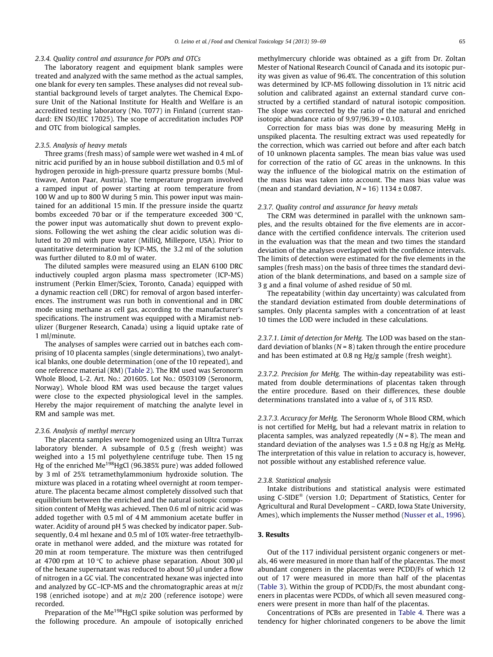#### 2.3.4. Quality control and assurance for POPs and OTCs

The laboratory reagent and equipment blank samples were treated and analyzed with the same method as the actual samples, one blank for every ten samples. These analyses did not reveal substantial background levels of target analytes. The Chemical Exposure Unit of the National Institute for Health and Welfare is an accredited testing laboratory (No. T077) in Finland (current standard: EN ISO/IEC 17025). The scope of accreditation includes POP and OTC from biological samples.

# 2.3.5. Analysis of heavy metals

Three grams (fresh mass) of sample were wet washed in 4 mL of nitric acid purified by an in house subboil distillation and 0.5 ml of hydrogen peroxide in high-pressure quartz pressure bombs (Multiwave, Anton Paar, Austria). The temperature program involved a ramped input of power starting at room temperature from 100 W and up to 800 W during 5 min. This power input was maintained for an additional 15 min. If the pressure inside the quartz bombs exceeded 70 bar or if the temperature exceeded 300  $\degree$ C, the power input was automatically shut down to prevent explosions. Following the wet ashing the clear acidic solution was diluted to 20 ml with pure water (MilliQ, Millepore, USA). Prior to quantitative determination by ICP-MS, the 3.2 ml of the solution was further diluted to 8.0 ml of water.

The diluted samples were measured using an ELAN 6100 DRC inductively coupled argon plasma mass spectrometer (ICP-MS) instrument (Perkin Elmer/Sciex, Toronto, Canada) equipped with a dynamic reaction cell (DRC) for removal of argon based interferences. The instrument was run both in conventional and in DRC mode using methane as cell gas, according to the manufacturer's specifications. The instrument was equipped with a Miramist nebulizer (Burgener Research, Canada) using a liquid uptake rate of 1 ml/minute.

The analyses of samples were carried out in batches each comprising of 10 placenta samples (single determinations), two analytical blanks, one double determination (one of the 10 repeated), and one reference material (RM) [\(Table 2](#page-1-0)). The RM used was Seronorm Whole Blood, L-2. Art. No.: 201605. Lot No.: 0503109 (Seronorm, Norway). Whole blood RM was used because the target values were close to the expected physiological level in the samples. Hereby the major requirement of matching the analyte level in RM and sample was met.

### 2.3.6. Analysis of methyl mercury

The placenta samples were homogenized using an Ultra Turrax laboratory blender. A subsample of 0.5 g (fresh weight) was weighed into a 15 ml polyethylene centrifuge tube. Then 15 ng Hg of the enriched Me<sup>198</sup>HgCl (96.385% pure) was added followed by 3 ml of 25% tetramethylammonium hydroxide solution. The mixture was placed in a rotating wheel overnight at room temperature. The placenta became almost completely dissolved such that equilibrium between the enriched and the natural isotopic composition content of MeHg was achieved. Then 0.6 ml of nitric acid was added together with 0.5 ml of 4 M ammonium acetate buffer in water. Acidity of around pH 5 was checked by indicator paper. Subsequently, 0.4 ml hexane and 0.5 ml of 10% water-free tetraethylborate in methanol were added, and the mixture was rotated for 20 min at room temperature. The mixture was then centrifuged at 4700 rpm at 10 $\degree$ C to achieve phase separation. About 300  $\mu$ l of the hexane supernatant was reduced to about 50 µl under a flow of nitrogen in a GC vial. The concentrated hexane was injected into and analyzed by GC–ICP-MS and the chromatographic areas at  $m/z$ 198 (enriched isotope) and at  $m/z$  200 (reference isotope) were recorded.

Preparation of the Me<sup>198</sup>HgCl spike solution was performed by the following procedure. An ampoule of isotopically enriched methylmercury chloride was obtained as a gift from Dr. Zoltan Mester of National Research Council of Canada and its isotopic purity was given as value of 96.4%. The concentration of this solution was determined by ICP-MS following dissolution in 1% nitric acid solution and calibrated against an external standard curve constructed by a certified standard of natural isotopic composition. The slope was corrected by the ratio of the natural and enriched isotopic abundance ratio of 9.97/96.39 = 0.103.

Correction for mass bias was done by measuring MeHg in unspiked placenta. The resulting extract was used repeatedly for the correction, which was carried out before and after each batch of 10 unknown placenta samples. The mean bias value was used for correction of the ratio of GC areas in the unknowns. In this way the influence of the biological matrix on the estimation of the mass bias was taken into account. The mass bias value was (mean and standard deviation,  $N = 16$ ) 1134  $\pm$  0.087.

#### 2.3.7. Quality control and assurance for heavy metals

The CRM was determined in parallel with the unknown samples, and the results obtained for the five elements are in accordance with the certified confidence intervals. The criterion used in the evaluation was that the mean and two times the standard deviation of the analyses overlapped with the confidence intervals. The limits of detection were estimated for the five elements in the samples (fresh mass) on the basis of three times the standard deviation of the blank determinations, and based on a sample size of 3 g and a final volume of ashed residue of 50 ml.

The repeatability (within day uncertainty) was calculated from the standard deviation estimated from double determinations of samples. Only placenta samples with a concentration of at least 10 times the LOD were included in these calculations.

2.3.7.1. Limit of detection for MeHg. The LOD was based on the standard deviation of blanks ( $N = 8$ ) taken through the entire procedure and has been estimated at 0.8 ng Hg/g sample (fresh weight).

2.3.7.2. Precision for MeHg. The within-day repeatability was estimated from double determinations of placentas taken through the entire procedure. Based on their differences, these double determinations translated into a value of  $s_r$  of 31% RSD.

2.3.7.3. Accuracy for MeHg. The Seronorm Whole Blood CRM, which is not certified for MeHg, but had a relevant matrix in relation to placenta samples, was analyzed repeatedly  $(N = 8)$ . The mean and standard deviation of the analyses was  $1.5 \pm 0.8$  ng Hg/g as MeHg. The interpretation of this value in relation to accuracy is, however, not possible without any established reference value.

### 2.3.8. Statistical analysis

Intake distributions and statistical analysis were estimated using C-SIDE® (version 1.0; Department of Statistics, Center for Agricultural and Rural Development – CARD, Iowa State University, Ames), which implements the Nusser method ([Nusser et al., 1996\)](#page-10-0).

# 3. Results

Out of the 117 individual persistent organic congeners or metals, 46 were measured in more than half of the placentas. The most abundant congeners in the placentas were PCDD/Fs of which 12 out of 17 were measured in more than half of the placentas ([Table 3](#page-2-0)). Within the group of PCDD/Fs, the most abundant congeners in placentas were PCDDs, of which all seven measured congeners were present in more than half of the placentas.

Concentrations of PCBs are presented in [Table 4](#page-3-0). There was a tendency for higher chlorinated congeners to be above the limit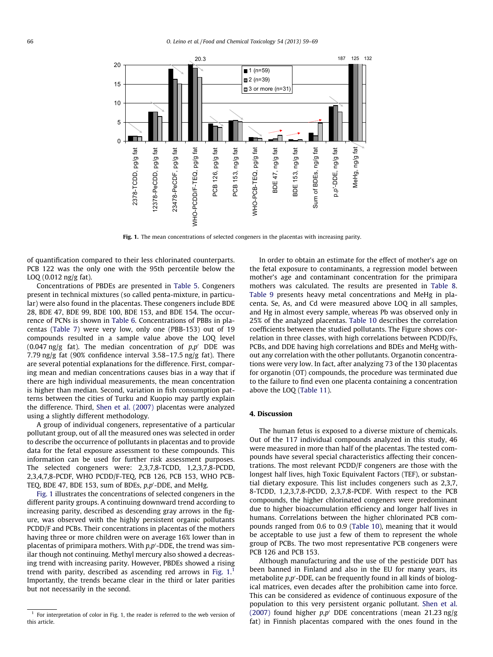

Fig. 1. The mean concentrations of selected congeners in the placentas with increasing parity.

of quantification compared to their less chlorinated counterparts. PCB 122 was the only one with the 95th percentile below the LOQ (0.012 ng/g fat).

Concentrations of PBDEs are presented in [Table 5.](#page-4-0) Congeners present in technical mixtures (so called penta-mixture, in particular) were also found in the placentas. These congeners include BDE 28, BDE 47, BDE 99, BDE 100, BDE 153, and BDE 154. The occurrence of PCNs is shown in [Table 6](#page-4-0). Concentrations of PBBs in placentas [\(Table 7](#page-5-0)) were very low, only one (PBB-153) out of 19 compounds resulted in a sample value above the LOQ level (0.047 ng/g fat). The median concentration of  $p, p'$  DDE was 7.79 ng/g fat (90% confidence interval 3.58–17.5 ng/g fat). There are several potential explanations for the difference. First, comparing mean and median concentrations causes bias in a way that if there are high individual measurements, the mean concentration is higher than median. Second, variation in fish consumption patterns between the cities of Turku and Kuopio may partly explain the difference. Third, [Shen et al. \(2007\)](#page-10-0) placentas were analyzed using a slightly different methodology.

A group of individual congeners, representative of a particular pollutant group, out of all the measured ones was selected in order to describe the occurrence of pollutants in placentas and to provide data for the fetal exposure assessment to these compounds. This information can be used for further risk assessment purposes. The selected congeners were: 2,3,7,8-TCDD, 1,2,3,7,8-PCDD, 2,3,4,7,8-PCDF, WHO PCDD/F-TEQ, PCB 126, PCB 153, WHO PCB-TEQ, BDE 47, BDE 153, sum of BDEs,  $p, p'$ -DDE, and MeHg.

Fig. 1 illustrates the concentrations of selected congeners in the different parity groups. A continuing downward trend according to increasing parity, described as descending gray arrows in the figure, was observed with the highly persistent organic pollutants PCDD/F and PCBs. Their concentrations in placentas of the mothers having three or more children were on average 16% lower than in placentas of primipara mothers. With  $p, p'$ -DDE, the trend was similar though not continuing. Methyl mercury also showed a decreasing trend with increasing parity. However, PBDEs showed a rising trend with parity, described as ascending red arrows in Fig.  $1<sup>1</sup>$ Importantly, the trends became clear in the third or later parities but not necessarily in the second.

In order to obtain an estimate for the effect of mother's age on the fetal exposure to contaminants, a regression model between mother's age and contaminant concentration for the primipara mothers was calculated. The results are presented in [Table 8.](#page-5-0) [Table 9](#page-8-0) presents heavy metal concentrations and MeHg in placenta. Se, As, and Cd were measured above LOQ in all samples, and Hg in almost every sample, whereas Pb was observed only in 25% of the analyzed placentas. [Table 10](#page-8-0) describes the correlation coefficients between the studied pollutants. The Figure shows correlation in three classes, with high correlations between PCDD/Fs, PCBs, and DDE having high correlations and BDEs and MeHg without any correlation with the other pollutants. Organotin concentrations were very low. In fact, after analyzing 73 of the 130 placentas for organotin (OT) compounds, the procedure was terminated due to the failure to find even one placenta containing a concentration above the LOQ [\(Table 11\)](#page-8-0).

# 4. Discussion

The human fetus is exposed to a diverse mixture of chemicals. Out of the 117 individual compounds analyzed in this study, 46 were measured in more than half of the placentas. The tested compounds have several special characteristics affecting their concentrations. The most relevant PCDD/F congeners are those with the longest half lives, high Toxic Equivalent Factors (TEF), or substantial dietary exposure. This list includes congeners such as 2,3,7, 8-TCDD, 1,2,3,7,8-PCDD, 2,3,7,8-PCDF. With respect to the PCB compounds, the higher chlorinated congeners were predominant due to higher bioaccumulation efficiency and longer half lives in humans. Correlations between the higher chlorinated PCB compounds ranged from 0.6 to 0.9 [\(Table 10](#page-8-0)), meaning that it would be acceptable to use just a few of them to represent the whole group of PCBs. The two most representative PCB congeners were PCB 126 and PCB 153.

Although manufacturing and the use of the pesticide DDT has been banned in Finland and also in the EU for many years, its metabolite  $p, p'$ -DDE, can be frequently found in all kinds of biological matrices, even decades after the prohibition came into force. This can be considered as evidence of continuous exposure of the population to this very persistent organic pollutant. [Shen et al.](#page-10-0) [\(2007\)](#page-10-0) found higher  $p, p'$  DDE concentrations (mean 21.23 ng/g) fat) in Finnish placentas compared with the ones found in the

 $1$  For interpretation of color in Fig. 1, the reader is referred to the web version of this article.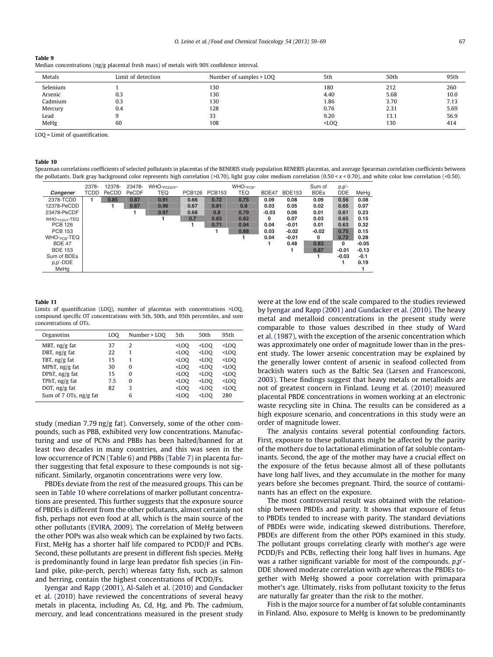<span id="page-8-0"></span>

|  | Median concentrations (ng/g placental fresh mass) of metals with 90% confidence interval. |
|--|-------------------------------------------------------------------------------------------|

| Metals   | Limit of detection | Number of samples > LOQ | 5th     | 50th | 95th |
|----------|--------------------|-------------------------|---------|------|------|
| Selenium |                    | 130                     | 180     | 212  | 260  |
| Arsenic  | 0.3                | 130                     | 4.40    | 5.68 | 10.0 |
| Cadmium  | 0.3                | 130                     | 1.86    | 3.70 | 7.13 |
| Mercury  | 0.4                | 128                     | 0.76    | 2.31 | 5.69 |
| Lead     | 9                  | 33                      | 9.20    | 13.1 | 56.9 |
| MeHg     | 60                 | 108                     | $<$ LOO | 130  | 414  |

LOQ = Limit of quantification.

# Table 10

Spearman correlations coefficients of selected pollutants in placentas of the BENERIS study population BENERIS placentas, and average Spearman correlation coefficients between the pollutants. Dark gray background color represents high correlation (>0.70), light gray color medium correlation (0.50 < x < 0.70), and white color low correlation (<0.50).

|                          | 2378-       | 12378- | 23478- | WHO-PCDD/F- |               |               | WHO-PCR- |         |               | Sum of      | $p, p'$ -  |         |
|--------------------------|-------------|--------|--------|-------------|---------------|---------------|----------|---------|---------------|-------------|------------|---------|
| Congener                 | <b>TCDD</b> | PeCDD  | PeCDF  | TEQ         | <b>PCB126</b> | <b>PCB153</b> | TEQ      | BDE47   | <b>BDE153</b> | <b>BDEs</b> | <b>DDE</b> | MeHq    |
| 2378-TCDD                |             | 0.85   | 0.87   | 0.91        | 0.66          | 0.72          | 0.75     | 0.09    | 0.08          | 0.09        | 0.56       | 0.08    |
| 12378-PeCDD              |             |        | 0.87   | 0.96        | 0.67          | 0.81          | 0.8      | 0.03    | 0.05          | 0.02        | 0.65       | 0.07    |
| 23478-PeCDF              |             |        |        | 0.97        | 0.68          | 0.8           | 0.79     | $-0.03$ | 0.06          | 0.01        | 0.61       | 0.23    |
| WHO-PCDD/F-TEQ           |             |        |        |             | 0.7           | 0.83          | 0.82     | 0       | 0.07          | 0.03        | 0.65       | 0.15    |
| <b>PCB 126</b>           |             |        |        |             |               | 0.71          | 0.94     | 0.04    | $-0.01$       | 0.01        | 0.63       | 0.32    |
| <b>PCB 153</b>           |             |        |        |             |               |               | 0.88     | 0.03    | $-0.02$       | $-0.02$     | 0.75       | 0.15    |
| WHO- <sub>PCR</sub> -TEQ |             |        |        |             |               |               |          | 0.04    | $-0.01$       | 0           | 0.72       | 0.28    |
| <b>BDE 47</b>            |             |        |        |             |               |               |          |         | 0.48          | 0.83        | 0          | $-0.05$ |
| <b>BDE 153</b>           |             |        |        |             |               |               |          |         |               | 0.87        | $-0.01$    | $-0.13$ |
| Sum of BDEs              |             |        |        |             |               |               |          |         |               |             | $-0.03$    | $-0.1$  |
| p,p'-DDE                 |             |        |        |             |               |               |          |         |               |             |            | 0.19    |
| MeHa                     |             |        |        |             |               |               |          |         |               |             |            |         |

#### Table 11

Limits of quantification (LOQ), number of placentas with concentrations >LOQ, compound specific OT concentrations with 5th, 50th, and 95th percentiles, and sum concentrations of OTs.

| Organotins             | LOO | Number > LOO | 5th                                                                           | 50th    | 95th                |
|------------------------|-----|--------------|-------------------------------------------------------------------------------|---------|---------------------|
| MBT, ng/g fat          | 37  | 2            | <loo< td=""><td><math>&lt;</math>LOO</td><td><loo< td=""></loo<></td></loo<>  | $<$ LOO | <loo< td=""></loo<> |
| DBT, $ng/g$ fat        | 22  | 1            | $<$ LOO                                                                       | $<$ LOO | $<$ LOO             |
| TBT, $ng/g$ fat        | 15  | 1            | $<$ LOO                                                                       | $<$ LOO | $<$ LOO             |
| MPhT, $ng/g$ fat       | 30  | $\Omega$     | $<$ LOO                                                                       | $<$ LOO | $<$ LOO             |
| DPhT, $ng/g$ fat       | 15  | $\Omega$     | <loo< td=""><td><math>&lt;</math>LOO</td><td><math>&lt;</math>LOO</td></loo<> | $<$ LOO | $<$ LOO             |
| TPhT, $ng/g$ fat       | 7.5 | $\Omega$     | $<$ LOO                                                                       | $<$ LOO | $<$ LOO             |
| DOT, $ng/g$ fat        | 82  | 3            | <loo< td=""><td><math>&lt;</math>LOO</td><td><math>&lt;</math>LOO</td></loo<> | $<$ LOO | $<$ LOO             |
| Sum of 7 OTs, ng/g fat |     | 6            | $<$ LOO                                                                       | $<$ LOO | 280                 |
|                        |     |              |                                                                               |         |                     |

study (median 7.79 ng/g fat). Conversely, some of the other compounds, such as PBB, exhibited very low concentrations. Manufacturing and use of PCNs and PBBs has been halted/banned for at least two decades in many countries, and this was seen in the low occurrence of PCN [\(Table 6](#page-4-0)) and PBBs ([Table 7\)](#page-5-0) in placenta further suggesting that fetal exposure to these compounds is not significant. Similarly, organotin concentrations were very low.

PBDEs deviate from the rest of the measured groups. This can be seen in Table 10 where correlations of marker pollutant concentrations are presented. This further suggests that the exposure source of PBDEs is different from the other pollutants, almost certainly not fish, perhaps not even food at all, which is the main source of the other pollutants ([EVIRA, 2009\)](#page-9-0). The correlation of MeHg between the other POPs was also weak which can be explained by two facts. First, MeHg has a shorter half life compared to PCDD/F and PCBs. Second, these pollutants are present in different fish species. MeHg is predominantly found in large lean predator fish species (in Finland pike, pike-perch, perch) whereas fatty fish, such as salmon and herring, contain the highest concentrations of PCDD/Fs.

[Iyengar and Rapp \(2001\), Al-Saleh et al. \(2010\) and Gundacker](#page-9-0) [et al. \(2010\)](#page-9-0) have reviewed the concentrations of several heavy metals in placenta, including As, Cd, Hg, and Pb. The cadmium, mercury, and lead concentrations measured in the present study were at the low end of the scale compared to the studies reviewed by [Iyengar and Rapp \(2001\) and Gundacker et al. \(2010\)](#page-9-0). The heavy metal and metalloid concentrations in the present study were comparable to those values described in thee study of [Ward](#page-10-0) [et al. \(1987\),](#page-10-0) with the exception of the arsenic concentration which was approximately one order of magnitude lower than in the present study. The lower arsenic concentration may be explained by the generally lower content of arsenic in seafood collected from brackish waters such as the Baltic Sea [\(Larsen and Francesconi,](#page-10-0) [2003](#page-10-0)). These findings suggest that heavy metals or metalloids are not of greatest concern in Finland. [Leung et al. \(2010\)](#page-10-0) measured placental PBDE concentrations in women working at an electronic waste recycling site in China. The results can be considered as a high exposure scenario, and concentrations in this study were an order of magnitude lower.

The analysis contains several potential confounding factors. First, exposure to these pollutants might be affected by the parity of the mothers due to lactational elimination of fat soluble contaminants. Second, the age of the mother may have a crucial effect on the exposure of the fetus because almost all of these pollutants have long half lives, and they accumulate in the mother for many years before she becomes pregnant. Third, the source of contaminants has an effect on the exposure.

The most controversial result was obtained with the relationship between PBDEs and parity. It shows that exposure of fetus to PBDEs tended to increase with parity. The standard deviations of PBDEs were wide, indicating skewed distributions. Therefore, PBDEs are different from the other POPs examined in this study. The pollutant groups correlating clearly with mother's age were PCDD/Fs and PCBs, reflecting their long half lives in humans. Age was a rather significant variable for most of the compounds.  $p, p'$ -DDE showed moderate correlation with age whereas the PBDEs together with MeHg showed a poor correlation with primapara mother's age. Ultimately, risks from pollutant toxicity to the fetus are naturally far greater than the risk to the mother.

Fish is the major source for a number of fat soluble contaminants in Finland. Also, exposure to MeHg is known to be predominantly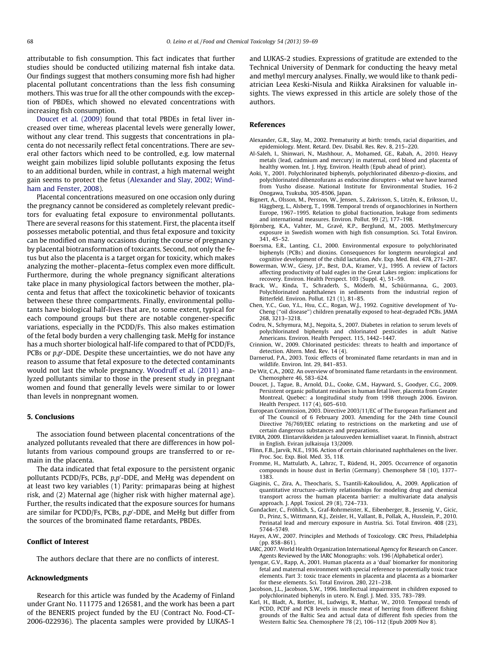<span id="page-9-0"></span>attributable to fish consumption. This fact indicates that further studies should be conducted utilizing maternal fish intake data. Our findings suggest that mothers consuming more fish had higher placental pollutant concentrations than the less fish consuming mothers. This was true for all the other compounds with the exception of PBDEs, which showed no elevated concentrations with increasing fish consumption.

Doucet et al. (2009) found that total PBDEs in fetal liver increased over time, whereas placental levels were generally lower, without any clear trend. This suggests that concentrations in placenta do not necessarily reflect fetal concentrations. There are several other factors which need to be controlled, e.g. low maternal weight gain mobilizes lipid soluble pollutants exposing the fetus to an additional burden, while in contrast, a high maternal weight gain seems to protect the fetus (Alexander and Slay, 2002; Windham and Fenster, 2008).

Placental concentrations measured on one occasion only during the pregnancy cannot be considered as completely relevant predictors for evaluating fetal exposure to environmental pollutants. There are several reasons for this statement. First, the placenta itself possesses metabolic potential, and thus fetal exposure and toxicity can be modified on many occasions during the course of pregnancy by placental biotransformation of toxicants. Second, not only the fetus but also the placenta is a target organ for toxicity, which makes analyzing the mother–placenta–fetus complex even more difficult. Furthermore, during the whole pregnancy significant alterations take place in many physiological factors between the mother, placenta and fetus that affect the toxicokinetic behavior of toxicants between these three compartments. Finally, environmental pollutants have biological half-lives that are, to some extent, typical for each compound groups but there are notable congener-specific variations, especially in the PCDD/Fs. This also makes estimation of the fetal body burden a very challenging task. MeHg for instance has a much shorter biological half-life compared to that of PCDD/Fs, PCBs or p,p'-DDE. Despite these uncertainties, we do not have any reason to assume that fetal exposure to the detected contaminants would not last the whole pregnancy. [Woodruff et al. \(2011\)](#page-10-0) analyzed pollutants similar to those in the present study in pregnant women and found that generally levels were similar to or lower than levels in nonpregnant women.

#### 5. Conclusions

The association found between placental concentrations of the analyzed pollutants revealed that there are differences in how pollutants from various compound groups are transferred to or remain in the placenta.

The data indicated that fetal exposure to the persistent organic pollutants PCDD/Fs, PCBs, p,p'-DDE, and MeHg was dependent on at least two key variables (1) Parity: primaparas being at highest risk, and (2) Maternal age (higher risk with higher maternal age). Further, the results indicated that the exposure sources for humans are similar for PCDD/Fs, PCBs,  $p, p'$ -DDE, and MeHg but differ from the sources of the brominated flame retardants, PBDEs.

#### Conflict of Interest

The authors declare that there are no conflicts of interest.

## Acknowledgments

Research for this article was funded by the Academy of Finland under Grant No. 111775 and 126581, and the work has been a part of the BENERIS project funded by the EU (Contract No. Food-CT-2006-022936). The placenta samples were provided by LUKAS-1

and LUKAS-2 studies. Expressions of gratitude are extended to the Technical University of Denmark for conducting the heavy metal and methyl mercury analyses. Finally, we would like to thank pediatrician Leea Keski-Nisula and Riikka Airaksinen for valuable insights. The views expressed in this article are solely those of the authors.

# References

- Alexander, G.R., Slay, M., 2002. Prematurity at birth: trends, racial disparities, and epidemiology. Ment. Retard. Dev. Disabil. Res. Rev. 8, 215–220.
- Al-Saleh, I., Shinwari, N., Mashhour, A., Mohamed, GE., Rabah, A., 2010. Heavy metals (lead, cadmium and mercury) in maternal, cord blood and placenta of healthy women. Int. J. Hyg. Environ. Health (Epub ahead of print).
- Aoki, Y., 2001. Polychlorinated biphenyls, polychlorinated dibenzo-p-dioxins, and polychlorinated dibenzofurans as endocrine disrupters - what we have learned from Yusho disease. National Institute for Environmental Studies, 16-2 Onogawa, Tsukuba, 305-8506, Japan.
- Bignert, A., Olsson, M., Persson, W., Jensen, S., Zakrisson, S., Litzén, K., Eriksson, U., Häggberg, L., Alsberg, T., 1998. Temporal trends of organochlorines in Northern Europe, 1967–1995. Relation to global fractionation, leakage from sediments and international measures. Environ. Pollut. 99 (2), 177–198.
- Björnberg, K.A., Vahter, M., Gravé, K.P., Berglund, M., 2005. Methylmercury exposure in Swedish women with high fish consumption. Sci. Total Environ. 341, 45–52.
- Boersma, E.R., Lanting, C.I., 2000. Environmental exposure to polychlorinated biphenyls (PCBs) and dioxins. Consequences for longterm neurological and cognitive development of the child lactation. Adv. Exp. Med. Biol. 478, 271–287.
- Bowerman, W.W., Giesy, J.P., Best, D.A., Kramer, V.J., 1995. A review of factors affecting productivity of bald eagles in the Great Lakes region: implications for recovery. Environ. Health Perspect. 103 (Suppl. 4), 51–59.
- Brack, W., Kinda, T., Schraderb, S., Möderb, M., Schüürmanna, G., 2003. Polychlorinated naphthalenes in sediments from the industrial region of Bitterfeld. Environ. Pollut. 121 (1), 81–85.
- Chen, Y.C., Guo, Y.L., Hsu, C.C., Rogan, W.J., 1992. Cognitive development of Yu-Cheng (''oil disease'') children prenatally exposed to heat-degraded PCBs. JAMA 268, 3213–3218.
- Codru, N., Schymura, M.J., Negoita, S., 2007. Diabetes in relation to serum levels of polychlorinated biphenyls and chlorinated pesticides in adult Native Americans. Environ. Health Perspect. 115, 1442–1447.
- Crinnion, W., 2009. Chlorinated pesticides: threats to health and importance of detection. Altern. Med. Rev. 14 (4).
- Darnerud, P.A., 2003. Toxic effects of brominated flame retardants in man and in wildlife. Environ. Int. 29, 841–853.
- De Wit, C.A., 2002. An overview of brominated flame retardants in the environment. Chemosphere 46, 583–624.
- Doucet, J., Tague, B., Arnold, D.L., Cooke, G.M., Hayward, S., Goodyer, C.G., 2009. Persistent organic pollutant residues in human fetal liver, placenta from Greater Montreal, Quebec: a longitudinal study from 1998 through 2006. Environ. Health Perspect. 117 (4), 605–610.
- European Commission, 2003. Directive 2003/11/EC of The European Parliament and of The Council of 6 February 2003. Amending for the 24th time Council Directive 76/769/EEC relating to restrictions on the marketing and use of certain dangerous substances and preparations.
- EVIRA, 2009. Elintarvikkeiden ja talousveden kemialliset vaarat. In Finnish, abstract in English. Eviran julkaisuja 13/2009.
- Flinn, F.B., Jarvik, N.E., 1936. Action of certain chlorinated naphthalenes on the liver. Proc. Soc. Exp. Biol. Med. 35, 118.
- Fromme, H., Mattulatb, A., Lahrzc, T., Rüdend, H., 2005. Occurrence of organotin compounds in house dust in Berlin (Germany). Chemosphere 58 (10), 1377– 1383.
- Giaginis, C., Zira, A., Theocharis, S., Tsantili-Kakoulidou, A., 2009. Application of quantitative structure–activity relationships for modeling drug and chemical transport across the human placenta barrier: a multivariate data analysis approach. J. Appl. Toxicol. 29 (8), 724–733.
- Gundacker, C., Fröhlich, S., Graf-Rohrmeister, K., Eibenberger, B., Jessenig, V., Gicic, D., Prinz, S., Wittmann, K.J., Zeisler, H., Vallant, B., Pollak, A., Husslein, P., 2010. Perinatal lead and mercury exposure in Austria. Sci. Total Environ. 408 (23), 5744–5749.
- Hayes, A.W., 2007. Principles and Methods of Toxicology. CRC Press, Philadelphia (pp. 858–861).
- IARC, 2007. World Health Organization International Agency for Research on Cancer. Agents Reviewed by the IARC Monographs: vols. 196 (Alphabetical order).
- Iyengar, G.V., Rapp, A., 2001. Human placenta as a 'dual' biomarker for monitoring fetal and maternal environment with special reference to potentially toxic trace elements. Part 3: toxic trace elements in placenta and placenta as a biomarker for these elements. Sci. Total Environ. 280, 221–238.
- Jacobson, J.L., Jacobson, S.W., 1996. Intellectual impairment in children exposed to polychlorinated biphenyls in utero. N. Engl. J. Med. 335, 783–789.
- Karl, H., Bladt, A., Rottler, H., Ludwigs, R., Mathar, W., 2010. Temporal trends of PCDD, PCDF and PCB levels in muscle meat of herring from different fishing grounds of the Baltic Sea and actual data of different fish species from the Western Baltic Sea. Chemosphere 78 (2), 106–112 (Epub 2009 Nov 8).